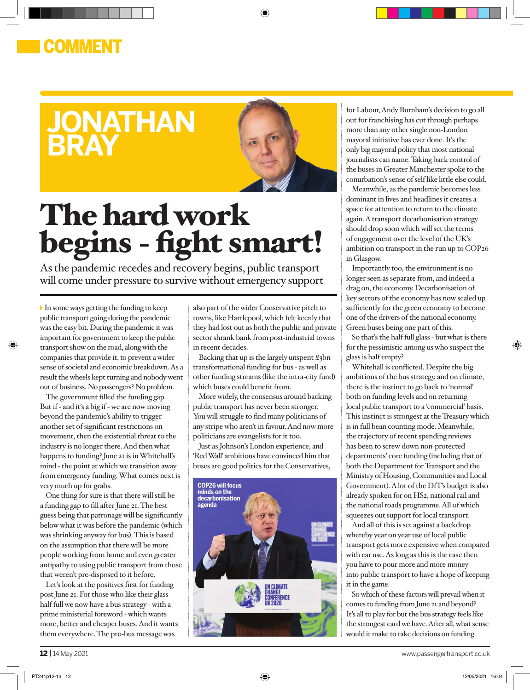### COMMENT

## **JONATHAN BRAY**



◈

# The hard work begins - fight smart!

As the pandemic recedes and recovery begins, public transport will come under pressure to survive without emergency support

In some ways getting the funding to keep public transport going during the pandemic was the easy bit. During the pandemic it was important for government to keep the public transport show on the road, along with the companies that provide it, to prevent a wider sense of societal and economic breakdown. As a result the wheels kept turning and nobody went out of business. No passengers? No problem.

⊕

The government filled the funding gap. But if - and it's a big if - we are now moving beyond the pandemic's ability to trigger another set of significant restrictions on movement, then the existential threat to the industry is no longer there. And then what happens to funding? June 21 is in Whitehall's mind - the point at which we transition away from emergency funding. What comes next is very much up for grabs.

One thing for sure is that there will still be a funding gap to fill after June 21. The best guess being that patronage will be significantly below what it was before the pandemic (which was shrinking anyway for bus). This is based on the assumption that there will be more people working from home and even greater antipathy to using public transport from those that weren't pre-disposed to it before.

Let's look at the positives first for funding post June 21. For those who like their glass half full we now have a bus strategy - with a prime ministerial foreword - which wants more, better and cheaper buses. And it wants them everywhere. The pro-bus message was

also part of the wider Conservative pitch to towns, like Hartlepool, which felt keenly that they had lost out as both the public and private sector shrank bank from post-industrial towns in recent decades.

Backing that up is the largely unspent £3bn transformational funding for bus - as well as other funding streams (like the intra-city fund) which buses could benefit from.

More widely, the consensus around backing public transport has never been stronger. You will struggle to find many politicians of any stripe who aren't in favour. And now more politicians are evangelists for it too.

Just as Johnson's London experience, and 'Red Wall' ambitions have convinced him that buses are good politics for the Conservatives,



for Labour, Andy Burnham's decision to go all out for franchising has cut through perhaps more than any other single non-London mayoral initiative has ever done. It's the only big mayoral policy that most national journalists can name. Taking back control of the buses in Greater Manchester spoke to the conurbation's sense of self like little else could.

Meanwhile, as the pandemic becomes less dominant in lives and headlines it creates a space for attention to return to the climate again. A transport decarbonisation strategy should drop soon which will set the terms of engagement over the level of the UK's ambition on transport in the run up to COP26 in Glasgow.

Importantly too, the environment is no longer seen as separate from, and indeed a drag on, the economy. Decarbonisation of key sectors of the economy has now scaled up sufficiently for the green economy to become one of the drivers of the national economy. Green buses being one part of this.

So that's the half full glass - but what is there for the pessimistic among us who suspect the glass is half empty?

Whitehall is conflicted. Despite the big ambitions of the bus strategy, and on climate, there is the instinct to go back to 'normal' both on funding levels and on returning local public transport to a 'commercial' basis. This instinct is strongest at the Treasury which is in full bean counting mode. Meanwhile, the trajectory of recent spending reviews has been to screw down non-protected departments' core funding (including that of both the Department for Transport and the Ministry of Housing, Communities and Local Government). A lot of the DfT's budget is also already spoken for on HS2, national rail and the national roads programme. All of which squeezes out support for local transport.

And all of this is set against a backdrop whereby year on year use of local public transport gets more expensive when compared with car use. As long as this is the case then you have to pour more and more money into public transport to have a hope of keeping it in the game.

So which of these factors will prevail when it comes to funding from June 21 and beyond? It's all to play for but the bus strategy feels like the strongest card we have. After all, what sense would it make to take decisions on funding

12 | 14 May 2021 www.passengertransport.co.uk

⊕